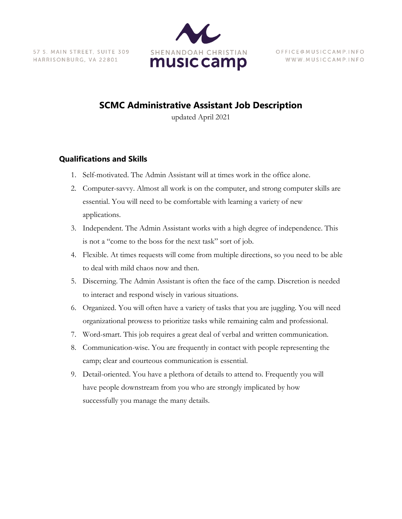57 S. MAIN STREET, SUITE 309 HARRISONBURG, VA 22801



OFFICE @ MUSICCAMP.INFO WWW.MUSICCAMP.INFO

## **SCMC Administrative Assistant Job Description**

updated April 2021

## **Qualifications and Skills**

- 1. Self-motivated. The Admin Assistant will at times work in the office alone.
- 2. Computer-savvy. Almost all work is on the computer, and strong computer skills are essential. You will need to be comfortable with learning a variety of new applications.
- 3. Independent. The Admin Assistant works with a high degree of independence. This is not a "come to the boss for the next task" sort of job.
- 4. Flexible. At times requests will come from multiple directions, so you need to be able to deal with mild chaos now and then.
- 5. Discerning. The Admin Assistant is often the face of the camp. Discretion is needed to interact and respond wisely in various situations.
- 6. Organized. You will often have a variety of tasks that you are juggling. You will need organizational prowess to prioritize tasks while remaining calm and professional.
- 7. Word-smart. This job requires a great deal of verbal and written communication.
- 8. Communication-wise. You are frequently in contact with people representing the camp; clear and courteous communication is essential.
- 9. Detail-oriented. You have a plethora of details to attend to. Frequently you will have people downstream from you who are strongly implicated by how successfully you manage the many details.